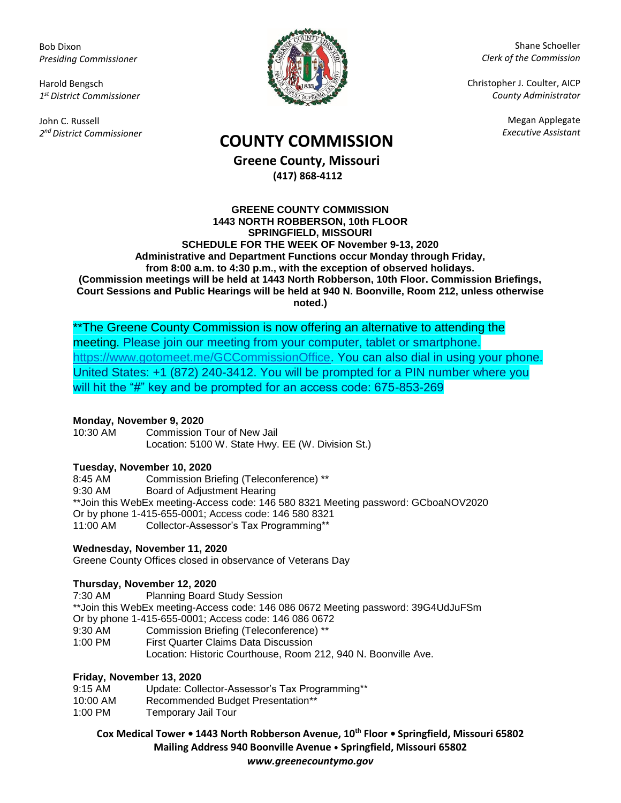Bob Dixon *Presiding Commissioner*

Harold Bengsch *1 st District Commissioner*

John C. Russell *2 nd District Commissioner*



Shane Schoeller *Clerk of the Commission*

Christopher J. Coulter, AICP *County Administrator*

Megan Applegate

# *Executive Assistant* **COUNTY COMMISSION**

**Greene County, Missouri (417) 868-4112**

#### **GREENE COUNTY COMMISSION 1443 NORTH ROBBERSON, 10th FLOOR SPRINGFIELD, MISSOURI SCHEDULE FOR THE WEEK OF November 9-13, 2020 Administrative and Department Functions occur Monday through Friday, from 8:00 a.m. to 4:30 p.m., with the exception of observed holidays. (Commission meetings will be held at 1443 North Robberson, 10th Floor. Commission Briefings, Court Sessions and Public Hearings will be held at 940 N. Boonville, Room 212, unless otherwise noted.)**

\*\*The Greene County Commission is now offering an alternative to attending the meeting. Please join our meeting from your computer, tablet or smartphone. [https://www.gotomeet.me/GCCommissionOffice.](https://www.gotomeet.me/GCCommissionOffice) You can also dial in using your phone. United States: +1 (872) 240-3412. You will be prompted for a PIN number where you will hit the "#" key and be prompted for an access code: 675-853-269

## **Monday, November 9, 2020**

10:30 AM Commission Tour of New Jail Location: 5100 W. State Hwy. EE (W. Division St.)

### **Tuesday, November 10, 2020**

8:45 AM Commission Briefing (Teleconference) \*\* 9:30 AM Board of Adjustment Hearing \*\*Join this WebEx meeting-Access code: 146 580 8321 Meeting password: GCboaNOV2020 Or by phone 1-415-655-0001; Access code: 146 580 8321 11:00 AM Collector-Assessor's Tax Programming\*\*

### **Wednesday, November 11, 2020**

Greene County Offices closed in observance of Veterans Day

### **Thursday, November 12, 2020**

7:30 AM Planning Board Study Session \*\*Join this WebEx meeting-Access code: 146 086 0672 Meeting password: 39G4UdJuFSm Or by phone 1-415-655-0001; Access code: 146 086 0672 9:30 AM Commission Briefing (Teleconference) \*\* 1:00 PM First Quarter Claims Data Discussion Location: Historic Courthouse, Room 212, 940 N. Boonville Ave.

### **Friday, November 13, 2020**

| 9:15 AM  | Update: Collector-Assessor's Tax Programming** |
|----------|------------------------------------------------|
| 10:00 AM | Recommended Budget Presentation**              |
| 1:00 PM  | Temporary Jail Tour                            |

**Cox Medical Tower • 1443 North Robberson Avenue, 10th Floor • Springfield, Missouri 65802 Mailing Address 940 Boonville Avenue • Springfield, Missouri 65802**

*www.greenecountymo.gov*